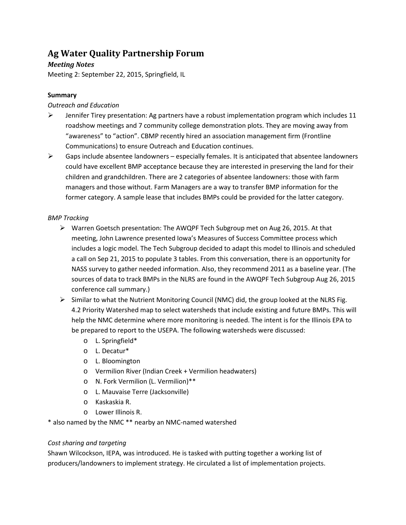# **Ag Water Quality Partnership Forum**

# *Meeting Notes*

Meeting 2: September 22, 2015, Springfield, IL

## **Summary**

## *Outreach and Education*

- $\triangleright$  Jennifer Tirey presentation: Ag partners have a robust implementation program which includes 11 roadshow meetings and 7 community college demonstration plots. They are moving away from "awareness" to "action". CBMP recently hired an association management firm (Frontline Communications) to ensure Outreach and Education continues.
- $\triangleright$  Gaps include absentee landowners especially females. It is anticipated that absentee landowners could have excellent BMP acceptance because they are interested in preserving the land for their children and grandchildren. There are 2 categories of absentee landowners: those with farm managers and those without. Farm Managers are a way to transfer BMP information for the former category. A sample lease that includes BMPs could be provided for the latter category.

# *BMP Tracking*

- $\triangleright$  Warren Goetsch presentation: The AWQPF Tech Subgroup met on Aug 26, 2015. At that meeting, John Lawrence presented Iowa's Measures of Success Committee process which includes a logic model. The Tech Subgroup decided to adapt this model to Illinois and scheduled a call on Sep 21, 2015 to populate 3 tables. From this conversation, there is an opportunity for NASS survey to gather needed information. Also, they recommend 2011 as a baseline year. (The sources of data to track BMPs in the NLRS are found in the AWQPF Tech Subgroup Aug 26, 2015 conference call summary.)
- $\triangleright$  Similar to what the Nutrient Monitoring Council (NMC) did, the group looked at the NLRS Fig. 4.2 Priority Watershed map to select watersheds that include existing and future BMPs. This will help the NMC determine where more monitoring is needed. The intent is for the Illinois EPA to be prepared to report to the USEPA. The following watersheds were discussed:
	- o L. Springfield\*
	- o L. Decatur\*
	- o L. Bloomington
	- o Vermilion River (Indian Creek + Vermilion headwaters)
	- o N. Fork Vermilion (L. Vermilion)\*\*
	- o L. Mauvaise Terre (Jacksonville)
	- o Kaskaskia R.
	- o Lower Illinois R.

\* also named by the NMC \*\* nearby an NMC-named watershed

## *Cost sharing and targeting*

Shawn Wilcockson, IEPA, was introduced. He is tasked with putting together a working list of producers/landowners to implement strategy. He circulated a list of implementation projects.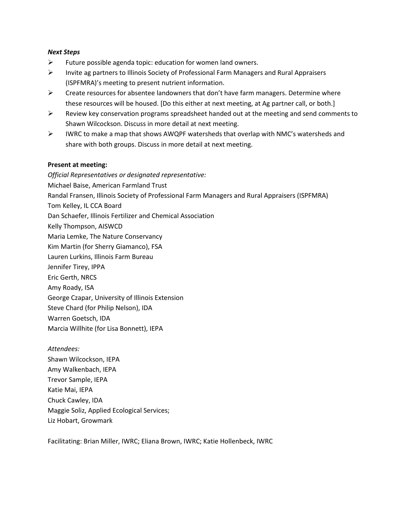#### *Next Steps*

- $\triangleright$  Future possible agenda topic: education for women land owners.
- Invite ag partners to Illinois Society of Professional Farm Managers and Rural Appraisers (ISPFMRA)'s meeting to present nutrient information.
- $\triangleright$  Create resources for absentee landowners that don't have farm managers. Determine where these resources will be housed. [Do this either at next meeting, at Ag partner call, or both.]
- $\triangleright$  Review key conservation programs spreadsheet handed out at the meeting and send comments to Shawn Wilcockson. Discuss in more detail at next meeting.
- $\triangleright$  IWRC to make a map that shows AWQPF watersheds that overlap with NMC's watersheds and share with both groups. Discuss in more detail at next meeting.

## **Present at meeting:**

*Official Representatives or designated representative:*  Michael Baise, American Farmland Trust Randal Fransen, Illinois Society of Professional Farm Managers and Rural Appraisers (ISPFMRA) Tom Kelley, IL CCA Board Dan Schaefer, Illinois Fertilizer and Chemical Association Kelly Thompson, AISWCD Maria Lemke, The Nature Conservancy Kim Martin (for Sherry Giamanco), FSA Lauren Lurkins, Illinois Farm Bureau Jennifer Tirey, IPPA Eric Gerth, NRCS Amy Roady, ISA George Czapar, University of Illinois Extension Steve Chard (for Philip Nelson), IDA Warren Goetsch, IDA Marcia Willhite (for Lisa Bonnett), IEPA

*Attendees:* Shawn Wilcockson, IEPA Amy Walkenbach, IEPA Trevor Sample, IEPA Katie Mai, IEPA Chuck Cawley, IDA Maggie Soliz, Applied Ecological Services; Liz Hobart, Growmark

Facilitating: Brian Miller, IWRC; Eliana Brown, IWRC; Katie Hollenbeck, IWRC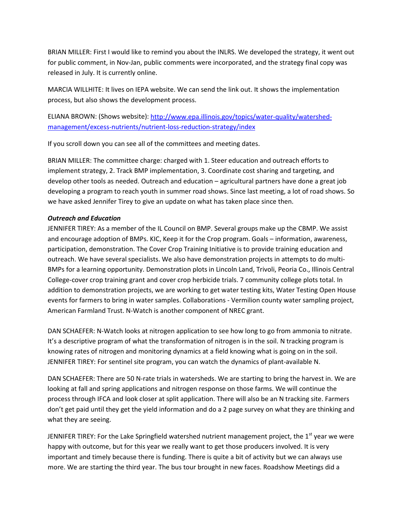BRIAN MILLER: First I would like to remind you about the INLRS. We developed the strategy, it went out for public comment, in Nov-Jan, public comments were incorporated, and the strategy final copy was released in July. It is currently online.

MARCIA WILLHITE: It lives on IEPA website. We can send the link out. It shows the implementation process, but also shows the development process.

ELIANA BROWN: (Shows website): [http://www.epa.illinois.gov/topics/water-quality/watershed](http://www.epa.illinois.gov/topics/water-quality/watershed-management/excess-nutrients/nutrient-loss-reduction-strategy/index)[management/excess-nutrients/nutrient-loss-reduction-strategy/index](http://www.epa.illinois.gov/topics/water-quality/watershed-management/excess-nutrients/nutrient-loss-reduction-strategy/index)

If you scroll down you can see all of the committees and meeting dates.

BRIAN MILLER: The committee charge: charged with 1. Steer education and outreach efforts to implement strategy, 2. Track BMP implementation, 3. Coordinate cost sharing and targeting, and develop other tools as needed. Outreach and education – agricultural partners have done a great job developing a program to reach youth in summer road shows. Since last meeting, a lot of road shows. So we have asked Jennifer Tirey to give an update on what has taken place since then.

## *Outreach and Education*

JENNIFER TIREY: As a member of the IL Council on BMP. Several groups make up the CBMP. We assist and encourage adoption of BMPs. KIC, Keep it for the Crop program. Goals – information, awareness, participation, demonstration. The Cover Crop Training Initiative is to provide training education and outreach. We have several specialists. We also have demonstration projects in attempts to do multi-BMPs for a learning opportunity. Demonstration plots in Lincoln Land, Trivoli, Peoria Co., Illinois Central College-cover crop training grant and cover crop herbicide trials. 7 community college plots total. In addition to demonstration projects, we are working to get water testing kits, Water Testing Open House events for farmers to bring in water samples. Collaborations - Vermilion county water sampling project, American Farmland Trust. N-Watch is another component of NREC grant.

DAN SCHAEFER: N-Watch looks at nitrogen application to see how long to go from ammonia to nitrate. It's a descriptive program of what the transformation of nitrogen is in the soil. N tracking program is knowing rates of nitrogen and monitoring dynamics at a field knowing what is going on in the soil. JENNIFER TIREY: For sentinel site program, you can watch the dynamics of plant-available N.

DAN SCHAEFER: There are 50 N-rate trials in watersheds. We are starting to bring the harvest in. We are looking at fall and spring applications and nitrogen response on those farms. We will continue the process through IFCA and look closer at split application. There will also be an N tracking site. Farmers don't get paid until they get the yield information and do a 2 page survey on what they are thinking and what they are seeing.

JENNIFER TIREY: For the Lake Springfield watershed nutrient management project, the  $1<sup>st</sup>$  year we were happy with outcome, but for this year we really want to get those producers involved. It is very important and timely because there is funding. There is quite a bit of activity but we can always use more. We are starting the third year. The bus tour brought in new faces. Roadshow Meetings did a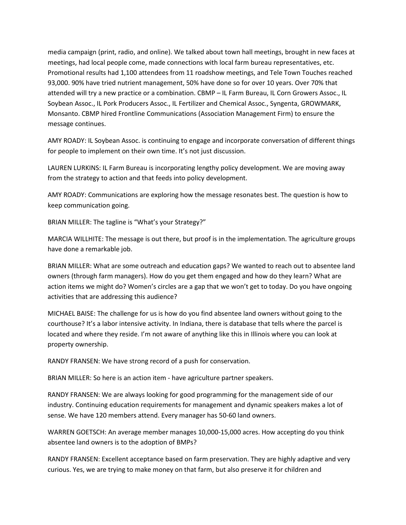media campaign (print, radio, and online). We talked about town hall meetings, brought in new faces at meetings, had local people come, made connections with local farm bureau representatives, etc. Promotional results had 1,100 attendees from 11 roadshow meetings, and Tele Town Touches reached 93,000. 90% have tried nutrient management, 50% have done so for over 10 years. Over 70% that attended will try a new practice or a combination. CBMP – IL Farm Bureau, IL Corn Growers Assoc., IL Soybean Assoc., IL Pork Producers Assoc., IL Fertilizer and Chemical Assoc., Syngenta, GROWMARK, Monsanto. CBMP hired Frontline Communications (Association Management Firm) to ensure the message continues.

AMY ROADY: IL Soybean Assoc. is continuing to engage and incorporate conversation of different things for people to implement on their own time. It's not just discussion.

LAUREN LURKINS: IL Farm Bureau is incorporating lengthy policy development. We are moving away from the strategy to action and that feeds into policy development.

AMY ROADY: Communications are exploring how the message resonates best. The question is how to keep communication going.

BRIAN MILLER: The tagline is "What's your Strategy?"

MARCIA WILLHITE: The message is out there, but proof is in the implementation. The agriculture groups have done a remarkable job.

BRIAN MILLER: What are some outreach and education gaps? We wanted to reach out to absentee land owners (through farm managers). How do you get them engaged and how do they learn? What are action items we might do? Women's circles are a gap that we won't get to today. Do you have ongoing activities that are addressing this audience?

MICHAEL BAISE: The challenge for us is how do you find absentee land owners without going to the courthouse? It's a labor intensive activity. In Indiana, there is database that tells where the parcel is located and where they reside. I'm not aware of anything like this in Illinois where you can look at property ownership.

RANDY FRANSEN: We have strong record of a push for conservation.

BRIAN MILLER: So here is an action item - have agriculture partner speakers.

RANDY FRANSEN: We are always looking for good programming for the management side of our industry. Continuing education requirements for management and dynamic speakers makes a lot of sense. We have 120 members attend. Every manager has 50-60 land owners.

WARREN GOETSCH: An average member manages 10,000-15,000 acres. How accepting do you think absentee land owners is to the adoption of BMPs?

RANDY FRANSEN: Excellent acceptance based on farm preservation. They are highly adaptive and very curious. Yes, we are trying to make money on that farm, but also preserve it for children and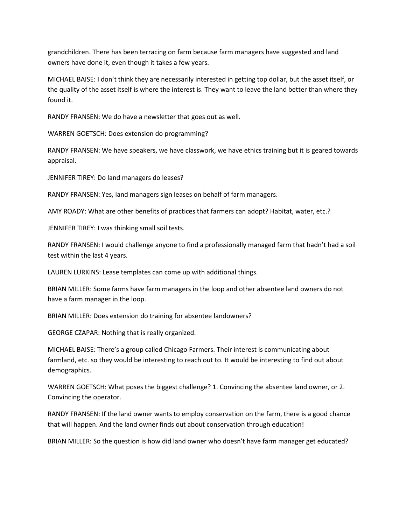grandchildren. There has been terracing on farm because farm managers have suggested and land owners have done it, even though it takes a few years.

MICHAEL BAISE: I don't think they are necessarily interested in getting top dollar, but the asset itself, or the quality of the asset itself is where the interest is. They want to leave the land better than where they found it.

RANDY FRANSEN: We do have a newsletter that goes out as well.

WARREN GOETSCH: Does extension do programming?

RANDY FRANSEN: We have speakers, we have classwork, we have ethics training but it is geared towards appraisal.

JENNIFER TIREY: Do land managers do leases?

RANDY FRANSEN: Yes, land managers sign leases on behalf of farm managers.

AMY ROADY: What are other benefits of practices that farmers can adopt? Habitat, water, etc.?

JENNIFER TIREY: I was thinking small soil tests.

RANDY FRANSEN: I would challenge anyone to find a professionally managed farm that hadn't had a soil test within the last 4 years.

LAUREN LURKINS: Lease templates can come up with additional things.

BRIAN MILLER: Some farms have farm managers in the loop and other absentee land owners do not have a farm manager in the loop.

BRIAN MILLER: Does extension do training for absentee landowners?

GEORGE CZAPAR: Nothing that is really organized.

MICHAEL BAISE: There's a group called Chicago Farmers. Their interest is communicating about farmland, etc. so they would be interesting to reach out to. It would be interesting to find out about demographics.

WARREN GOETSCH: What poses the biggest challenge? 1. Convincing the absentee land owner, or 2. Convincing the operator.

RANDY FRANSEN: If the land owner wants to employ conservation on the farm, there is a good chance that will happen. And the land owner finds out about conservation through education!

BRIAN MILLER: So the question is how did land owner who doesn't have farm manager get educated?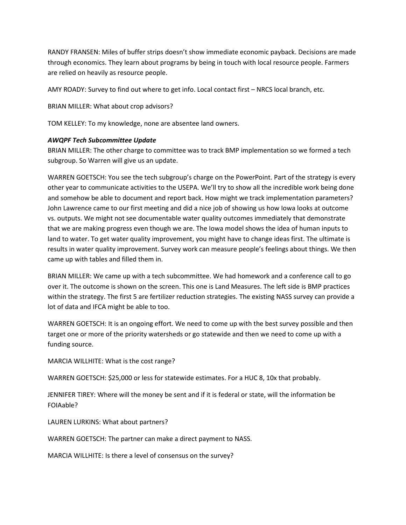RANDY FRANSEN: Miles of buffer strips doesn't show immediate economic payback. Decisions are made through economics. They learn about programs by being in touch with local resource people. Farmers are relied on heavily as resource people.

AMY ROADY: Survey to find out where to get info. Local contact first – NRCS local branch, etc.

BRIAN MILLER: What about crop advisors?

TOM KELLEY: To my knowledge, none are absentee land owners.

#### *AWQPF Tech Subcommittee Update*

BRIAN MILLER: The other charge to committee was to track BMP implementation so we formed a tech subgroup. So Warren will give us an update.

WARREN GOETSCH: You see the tech subgroup's charge on the PowerPoint. Part of the strategy is every other year to communicate activities to the USEPA. We'll try to show all the incredible work being done and somehow be able to document and report back. How might we track implementation parameters? John Lawrence came to our first meeting and did a nice job of showing us how Iowa looks at outcome vs. outputs. We might not see documentable water quality outcomes immediately that demonstrate that we are making progress even though we are. The Iowa model shows the idea of human inputs to land to water. To get water quality improvement, you might have to change ideas first. The ultimate is results in water quality improvement. Survey work can measure people's feelings about things. We then came up with tables and filled them in.

BRIAN MILLER: We came up with a tech subcommittee. We had homework and a conference call to go over it. The outcome is shown on the screen. This one is Land Measures. The left side is BMP practices within the strategy. The first 5 are fertilizer reduction strategies. The existing NASS survey can provide a lot of data and IFCA might be able to too.

WARREN GOETSCH: It is an ongoing effort. We need to come up with the best survey possible and then target one or more of the priority watersheds or go statewide and then we need to come up with a funding source.

MARCIA WILLHITE: What is the cost range?

WARREN GOETSCH: \$25,000 or less for statewide estimates. For a HUC 8, 10x that probably.

JENNIFER TIREY: Where will the money be sent and if it is federal or state, will the information be FOIAable?

LAUREN LURKINS: What about partners?

WARREN GOETSCH: The partner can make a direct payment to NASS.

MARCIA WILLHITE: Is there a level of consensus on the survey?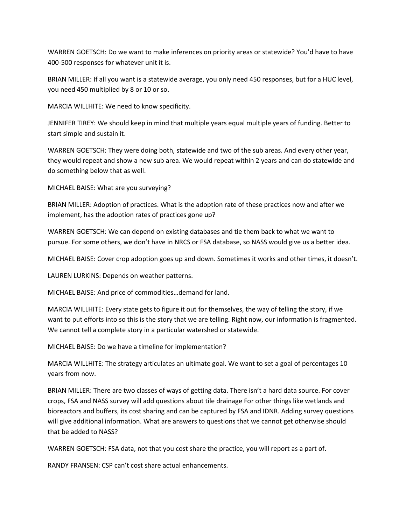WARREN GOETSCH: Do we want to make inferences on priority areas or statewide? You'd have to have 400-500 responses for whatever unit it is.

BRIAN MILLER: If all you want is a statewide average, you only need 450 responses, but for a HUC level, you need 450 multiplied by 8 or 10 or so.

MARCIA WILLHITE: We need to know specificity.

JENNIFER TIREY: We should keep in mind that multiple years equal multiple years of funding. Better to start simple and sustain it.

WARREN GOETSCH: They were doing both, statewide and two of the sub areas. And every other year, they would repeat and show a new sub area. We would repeat within 2 years and can do statewide and do something below that as well.

MICHAEL BAISE: What are you surveying?

BRIAN MILLER: Adoption of practices. What is the adoption rate of these practices now and after we implement, has the adoption rates of practices gone up?

WARREN GOETSCH: We can depend on existing databases and tie them back to what we want to pursue. For some others, we don't have in NRCS or FSA database, so NASS would give us a better idea.

MICHAEL BAISE: Cover crop adoption goes up and down. Sometimes it works and other times, it doesn't.

LAUREN LURKINS: Depends on weather patterns.

MICHAEL BAISE: And price of commodities…demand for land.

MARCIA WILLHITE: Every state gets to figure it out for themselves, the way of telling the story, if we want to put efforts into so this is the story that we are telling. Right now, our information is fragmented. We cannot tell a complete story in a particular watershed or statewide.

MICHAEL BAISE: Do we have a timeline for implementation?

MARCIA WILLHITE: The strategy articulates an ultimate goal. We want to set a goal of percentages 10 years from now.

BRIAN MILLER: There are two classes of ways of getting data. There isn't a hard data source. For cover crops, FSA and NASS survey will add questions about tile drainage For other things like wetlands and bioreactors and buffers, its cost sharing and can be captured by FSA and IDNR. Adding survey questions will give additional information. What are answers to questions that we cannot get otherwise should that be added to NASS?

WARREN GOETSCH: FSA data, not that you cost share the practice, you will report as a part of.

RANDY FRANSEN: CSP can't cost share actual enhancements.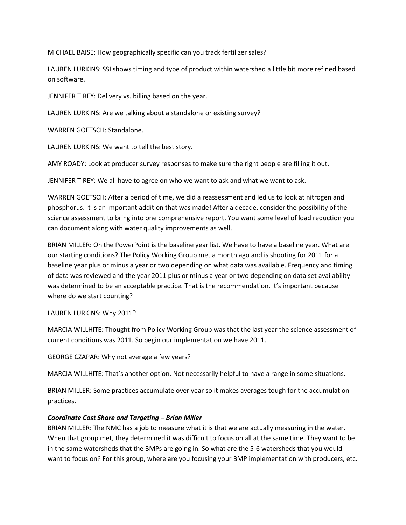MICHAEL BAISE: How geographically specific can you track fertilizer sales?

LAUREN LURKINS: SSI shows timing and type of product within watershed a little bit more refined based on software.

JENNIFER TIREY: Delivery vs. billing based on the year.

LAUREN LURKINS: Are we talking about a standalone or existing survey?

WARREN GOETSCH: Standalone.

LAUREN LURKINS: We want to tell the best story.

AMY ROADY: Look at producer survey responses to make sure the right people are filling it out.

JENNIFER TIREY: We all have to agree on who we want to ask and what we want to ask.

WARREN GOETSCH: After a period of time, we did a reassessment and led us to look at nitrogen and phosphorus. It is an important addition that was made! After a decade, consider the possibility of the science assessment to bring into one comprehensive report. You want some level of load reduction you can document along with water quality improvements as well.

BRIAN MILLER: On the PowerPoint is the baseline year list. We have to have a baseline year. What are our starting conditions? The Policy Working Group met a month ago and is shooting for 2011 for a baseline year plus or minus a year or two depending on what data was available. Frequency and timing of data was reviewed and the year 2011 plus or minus a year or two depending on data set availability was determined to be an acceptable practice. That is the recommendation. It's important because where do we start counting?

## LAUREN LURKINS: Why 2011?

MARCIA WILLHITE: Thought from Policy Working Group was that the last year the science assessment of current conditions was 2011. So begin our implementation we have 2011.

GEORGE CZAPAR: Why not average a few years?

MARCIA WILLHITE: That's another option. Not necessarily helpful to have a range in some situations.

BRIAN MILLER: Some practices accumulate over year so it makes averages tough for the accumulation practices.

## *Coordinate Cost Share and Targeting – Brian Miller*

BRIAN MILLER: The NMC has a job to measure what it is that we are actually measuring in the water. When that group met, they determined it was difficult to focus on all at the same time. They want to be in the same watersheds that the BMPs are going in. So what are the 5-6 watersheds that you would want to focus on? For this group, where are you focusing your BMP implementation with producers, etc.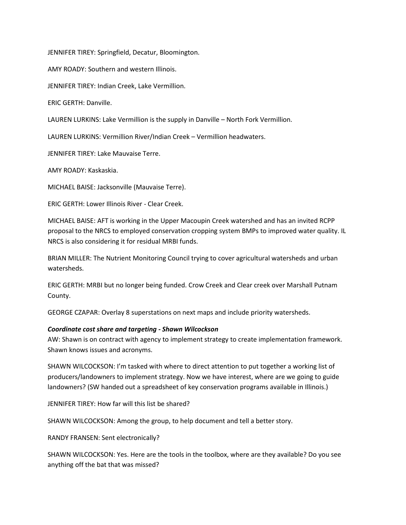JENNIFER TIREY: Springfield, Decatur, Bloomington.

AMY ROADY: Southern and western Illinois.

JENNIFER TIREY: Indian Creek, Lake Vermillion.

ERIC GERTH: Danville.

LAUREN LURKINS: Lake Vermillion is the supply in Danville – North Fork Vermillion.

LAUREN LURKINS: Vermillion River/Indian Creek – Vermillion headwaters.

JENNIFER TIREY: Lake Mauvaise Terre.

AMY ROADY: Kaskaskia.

MICHAEL BAISE: Jacksonville (Mauvaise Terre).

ERIC GERTH: Lower Illinois River - Clear Creek.

MICHAEL BAISE: AFT is working in the Upper Macoupin Creek watershed and has an invited RCPP proposal to the NRCS to employed conservation cropping system BMPs to improved water quality. IL NRCS is also considering it for residual MRBI funds.

BRIAN MILLER: The Nutrient Monitoring Council trying to cover agricultural watersheds and urban watersheds.

ERIC GERTH: MRBI but no longer being funded. Crow Creek and Clear creek over Marshall Putnam County.

GEORGE CZAPAR: Overlay 8 superstations on next maps and include priority watersheds.

#### *Coordinate cost share and targeting - Shawn Wilcockson*

AW: Shawn is on contract with agency to implement strategy to create implementation framework. Shawn knows issues and acronyms.

SHAWN WILCOCKSON: I'm tasked with where to direct attention to put together a working list of producers/landowners to implement strategy. Now we have interest, where are we going to guide landowners? (SW handed out a spreadsheet of key conservation programs available in Illinois.)

JENNIFER TIREY: How far will this list be shared?

SHAWN WILCOCKSON: Among the group, to help document and tell a better story.

RANDY FRANSEN: Sent electronically?

SHAWN WILCOCKSON: Yes. Here are the tools in the toolbox, where are they available? Do you see anything off the bat that was missed?